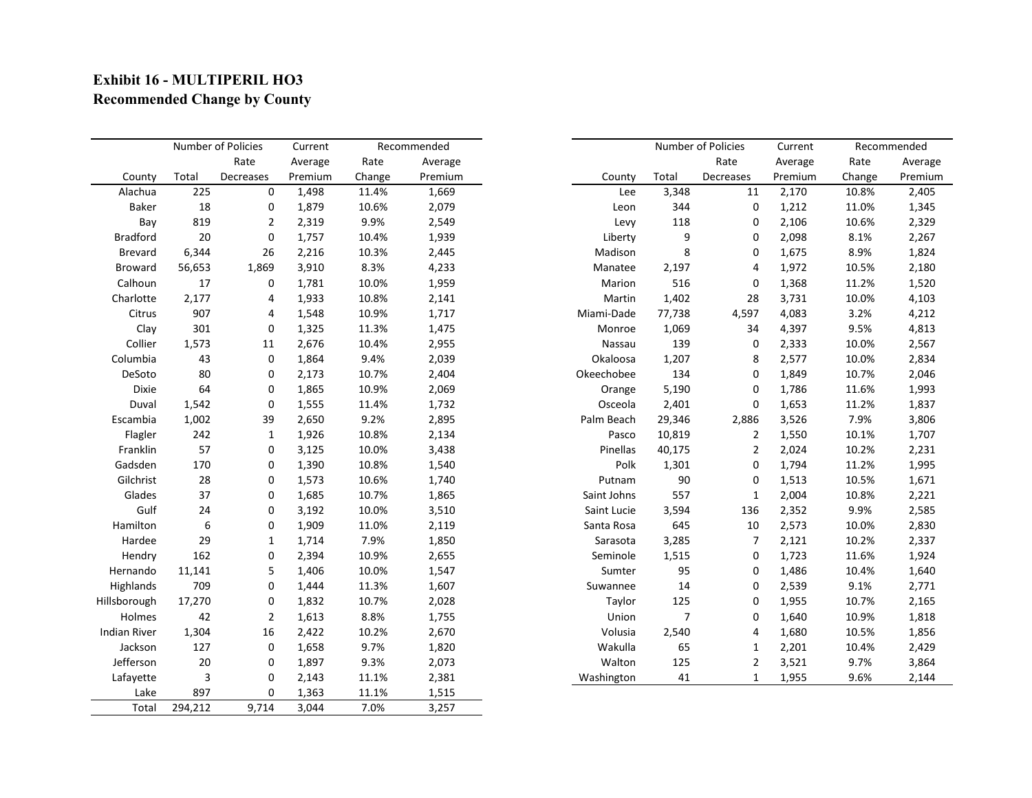## **Exhibit 16 - MULTIPERIL HO3 Recommended Change by County**

|                     | Number of Policies |             | Current | Recommended |         |             | Number of Policies |           | Current | Recommended |  |
|---------------------|--------------------|-------------|---------|-------------|---------|-------------|--------------------|-----------|---------|-------------|--|
|                     |                    | Rate        | Average | Rate        | Average |             |                    | Rate      | Average | Rate        |  |
| County              | Total              | Decreases   | Premium | Change      | Premium | County      | Total              | Decreases | Premium | Change      |  |
| Alachua             | 225                | $\mathbf 0$ | 1,498   | 11.4%       | 1,669   | Lee         | 3,348              | 11        | 2,170   | 10.8%       |  |
| <b>Baker</b>        | 18                 | 0           | 1,879   | 10.6%       | 2,079   | Leon        | 344                | 0         | 1,212   | 11.0%       |  |
| Bay                 | 819                | 2           | 2,319   | 9.9%        | 2,549   | Levy        | 118                | 0         | 2,106   | 10.6%       |  |
| <b>Bradford</b>     | 20                 | 0           | 1,757   | 10.4%       | 1,939   | Liberty     | 9                  | 0         | 2,098   | 8.1%        |  |
| <b>Brevard</b>      | 6,344              | 26          | 2,216   | 10.3%       | 2,445   | Madison     | 8                  | 0         | 1,675   | 8.9%        |  |
| <b>Broward</b>      | 56,653             | 1,869       | 3,910   | 8.3%        | 4,233   | Manatee     | 2,197              | 4         | 1,972   | 10.5%       |  |
| Calhoun             | 17                 | 0           | 1,781   | 10.0%       | 1,959   | Marion      | 516                | 0         | 1,368   | 11.2%       |  |
| Charlotte           | 2,177              | 4           | 1,933   | 10.8%       | 2,141   | Martin      | 1,402              | 28        | 3,731   | 10.0%       |  |
| Citrus              | 907                | 4           | 1,548   | 10.9%       | 1,717   | Miami-Dade  | 77,738             | 4,597     | 4,083   | 3.2%        |  |
| Clay                | 301                | 0           | 1,325   | 11.3%       | 1,475   | Monroe      | 1,069              | 34        | 4,397   | 9.5%        |  |
| Collier             | 1,573              | 11          | 2,676   | 10.4%       | 2,955   | Nassau      | 139                | 0         | 2,333   | 10.0%       |  |
| Columbia            | 43                 | 0           | 1,864   | 9.4%        | 2,039   | Okaloosa    | 1,207              | 8         | 2,577   | 10.0%       |  |
| DeSoto              | 80                 | 0           | 2,173   | 10.7%       | 2,404   | Okeechobee  | 134                | 0         | 1,849   | 10.7%       |  |
| Dixie               | 64                 | 0           | 1,865   | 10.9%       | 2,069   | Orange      | 5,190              | 0         | 1,786   | 11.6%       |  |
| Duval               | 1,542              | 0           | 1,555   | 11.4%       | 1,732   | Osceola     | 2,401              | 0         | 1,653   | 11.2%       |  |
| Escambia            | 1,002              | 39          | 2,650   | 9.2%        | 2,895   | Palm Beach  | 29,346             | 2,886     | 3,526   | 7.9%        |  |
| Flagler             | 242                | 1           | 1,926   | 10.8%       | 2,134   | Pasco       | 10,819             | 2         | 1,550   | 10.1%       |  |
| Franklin            | 57                 | 0           | 3,125   | 10.0%       | 3,438   | Pinellas    | 40,175             | 2         | 2,024   | 10.2%       |  |
| Gadsden             | 170                | 0           | 1,390   | 10.8%       | 1,540   | Polk        | 1,301              | 0         | 1,794   | 11.2%       |  |
| Gilchrist           | 28                 | 0           | 1,573   | 10.6%       | 1,740   | Putnam      | 90                 | 0         | 1,513   | 10.5%       |  |
| Glades              | 37                 | 0           | 1,685   | 10.7%       | 1,865   | Saint Johns | 557                | 1         | 2,004   | 10.8%       |  |
| Gulf                | 24                 | 0           | 3,192   | 10.0%       | 3,510   | Saint Lucie | 3,594              | 136       | 2,352   | 9.9%        |  |
| Hamilton            | 6                  | 0           | 1,909   | 11.0%       | 2,119   | Santa Rosa  | 645                | 10        | 2,573   | 10.0%       |  |
| Hardee              | 29                 | 1           | 1,714   | 7.9%        | 1,850   | Sarasota    | 3,285              | 7         | 2,121   | 10.2%       |  |
| Hendry              | 162                | 0           | 2,394   | 10.9%       | 2,655   | Seminole    | 1,515              | 0         | 1,723   | 11.6%       |  |
| Hernando            | 11,141             | 5           | 1,406   | 10.0%       | 1,547   | Sumter      | 95                 | 0         | 1,486   | 10.4%       |  |
| Highlands           | 709                | 0           | 1,444   | 11.3%       | 1,607   | Suwannee    | 14                 | 0         | 2,539   | 9.1%        |  |
| Hillsborough        | 17,270             | 0           | 1,832   | 10.7%       | 2,028   | Taylor      | 125                | 0         | 1,955   | 10.7%       |  |
| Holmes              | 42                 | 2           | 1,613   | 8.8%        | 1,755   | Union       | 7                  | 0         | 1,640   | 10.9%       |  |
| <b>Indian River</b> | 1,304              | 16          | 2,422   | 10.2%       | 2,670   | Volusia     | 2,540              | 4         | 1,680   | 10.5%       |  |
| Jackson             | 127                | 0           | 1,658   | 9.7%        | 1,820   | Wakulla     | 65                 | 1         | 2,201   | 10.4%       |  |
| Jefferson           | 20                 | 0           | 1,897   | 9.3%        | 2,073   | Walton      | 125                | 2         | 3,521   | 9.7%        |  |
| Lafayette           | 3                  | $\mathbf 0$ | 2,143   | 11.1%       | 2,381   | Washington  | 41                 | 1         | 1,955   | 9.6%        |  |
| Lake                | 897                | 0           | 1,363   | 11.1%       | 1,515   |             |                    |           |         |             |  |
| Total               | 294,212            | 9,714       | 3,044   | 7.0%        | 3,257   |             |                    |           |         |             |  |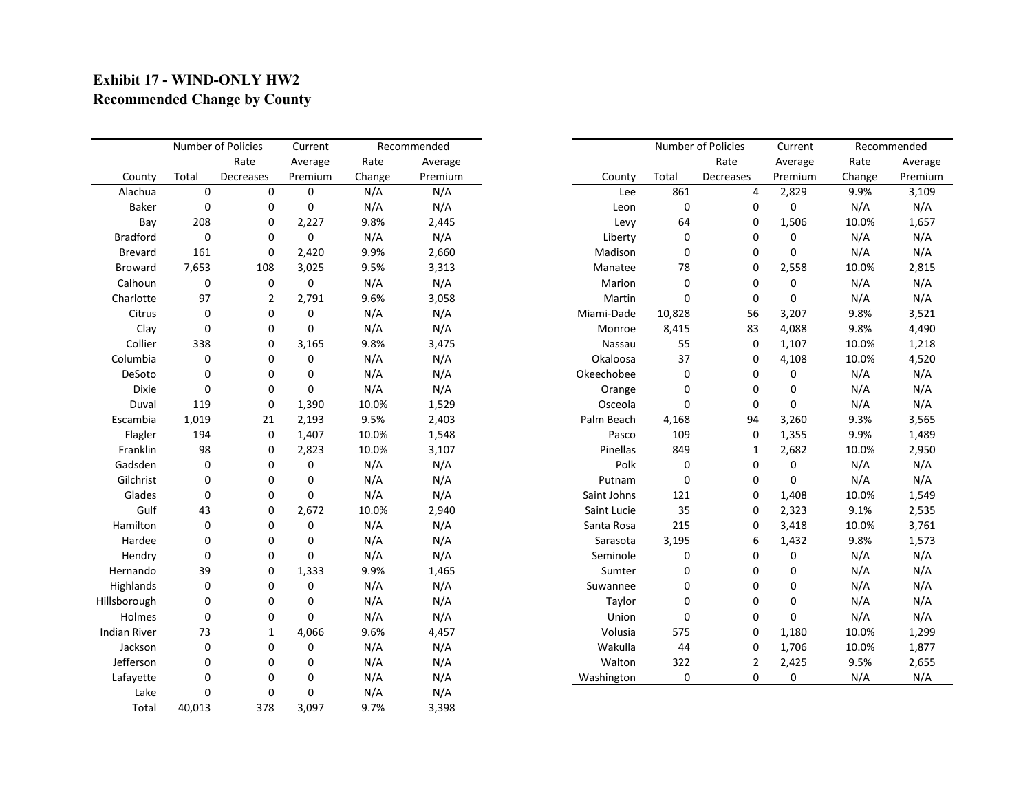## **Exhibit 17 - WIND-ONLY HW2 Recommended Change by County**

|                     | Number of Policies |                  | Current     |        | Recommended |             | Number of Policies |           | Current | Recommended |         |
|---------------------|--------------------|------------------|-------------|--------|-------------|-------------|--------------------|-----------|---------|-------------|---------|
|                     |                    | Rate             | Average     | Rate   | Average     |             |                    | Rate      | Average | Rate        | Average |
| County              | Total              | Decreases        | Premium     | Change | Premium     | County      | Total              | Decreases | Premium | Change      | Premium |
| Alachua             | $\pmb{0}$          | $\pmb{0}$        | $\mathbf 0$ | N/A    | N/A         | Lee         | 861                | 4         | 2,829   | 9.9%        | 3,109   |
| <b>Baker</b>        | 0                  | 0                | 0           | N/A    | N/A         | Leon        | 0                  | 0         | 0       | N/A         | N/A     |
| Bay                 | 208                | 0                | 2,227       | 9.8%   | 2,445       | Levy        | 64                 | 0         | 1,506   | 10.0%       | 1,657   |
| <b>Bradford</b>     | $\boldsymbol{0}$   | 0                | $\mathbf 0$ | N/A    | N/A         | Liberty     | 0                  | 0         | 0       | N/A         | N/A     |
| <b>Brevard</b>      | 161                | 0                | 2,420       | 9.9%   | 2,660       | Madison     | 0                  | 0         | 0       | N/A         | N/A     |
| <b>Broward</b>      | 7,653              | 108              | 3,025       | 9.5%   | 3,313       | Manatee     | 78                 | 0         | 2,558   | 10.0%       | 2,815   |
| Calhoun             | 0                  | 0                | 0           | N/A    | N/A         | Marion      | 0                  | 0         | 0       | N/A         | N/A     |
| Charlotte           | 97                 | 2                | 2,791       | 9.6%   | 3,058       | Martin      | 0                  | 0         | 0       | N/A         | N/A     |
| Citrus              | $\boldsymbol{0}$   | 0                | 0           | N/A    | N/A         | Miami-Dade  | 10,828             | 56        | 3,207   | 9.8%        | 3,521   |
| Clay                | 0                  | 0                | 0           | N/A    | N/A         | Monroe      | 8,415              | 83        | 4,088   | 9.8%        | 4,490   |
| Collier             | 338                | 0                | 3,165       | 9.8%   | 3,475       | Nassau      | 55                 | 0         | 1,107   | 10.0%       | 1,218   |
| Columbia            | 0                  | 0                | 0           | N/A    | N/A         | Okaloosa    | 37                 | 0         | 4,108   | 10.0%       | 4,520   |
| DeSoto              | 0                  | 0                | 0           | N/A    | N/A         | Okeechobee  | 0                  | 0         | 0       | N/A         | N/A     |
| <b>Dixie</b>        | 0                  | 0                | 0           | N/A    | N/A         | Orange      | 0                  | 0         | 0       | N/A         | N/A     |
| Duval               | 119                | 0                | 1,390       | 10.0%  | 1,529       | Osceola     | 0                  | 0         | 0       | N/A         | N/A     |
| Escambia            | 1,019              | 21               | 2,193       | 9.5%   | 2,403       | Palm Beach  | 4,168              | 94        | 3,260   | 9.3%        | 3,565   |
| Flagler             | 194                | 0                | 1,407       | 10.0%  | 1,548       | Pasco       | 109                | 0         | 1,355   | 9.9%        | 1,489   |
| Franklin            | 98                 | 0                | 2,823       | 10.0%  | 3,107       | Pinellas    | 849                | 1         | 2,682   | 10.0%       | 2,950   |
| Gadsden             | 0                  | 0                | 0           | N/A    | N/A         | Polk        | 0                  | 0         | 0       | N/A         | N/A     |
| Gilchrist           | $\boldsymbol{0}$   | 0                | 0           | N/A    | N/A         | Putnam      | 0                  | 0         | 0       | N/A         | N/A     |
| Glades              | $\mathbf 0$        | 0                | 0           | N/A    | N/A         | Saint Johns | 121                | 0         | 1,408   | 10.0%       | 1,549   |
| Gulf                | 43                 | 0                | 2,672       | 10.0%  | 2,940       | Saint Lucie | 35                 | 0         | 2,323   | 9.1%        | 2,535   |
| Hamilton            | 0                  | 0                | 0           | N/A    | N/A         | Santa Rosa  | 215                | 0         | 3,418   | 10.0%       | 3,761   |
| Hardee              | 0                  | 0                | 0           | N/A    | N/A         | Sarasota    | 3,195              | 6         | 1,432   | 9.8%        | 1,573   |
| Hendry              | 0                  | 0                | 0           | N/A    | N/A         | Seminole    | 0                  | 0         | 0       | N/A         | N/A     |
| Hernando            | 39                 | 0                | 1,333       | 9.9%   | 1,465       | Sumter      | 0                  | 0         | 0       | N/A         | N/A     |
| Highlands           | 0                  | 0                | 0           | N/A    | N/A         | Suwannee    | 0                  | 0         | 0       | N/A         | N/A     |
| Hillsborough        | 0                  | 0                | 0           | N/A    | N/A         | Taylor      | 0                  | 0         | 0       | N/A         | N/A     |
| Holmes              | 0                  | 0                | 0           | N/A    | N/A         | Union       | 0                  | 0         | 0       | N/A         | N/A     |
| <b>Indian River</b> | 73                 | 1                | 4,066       | 9.6%   | 4,457       | Volusia     | 575                | 0         | 1,180   | 10.0%       | 1,299   |
| Jackson             | $\boldsymbol{0}$   | $\boldsymbol{0}$ | 0           | N/A    | N/A         | Wakulla     | 44                 | 0         | 1,706   | 10.0%       | 1,877   |
| Jefferson           | 0                  | 0                | 0           | N/A    | N/A         | Walton      | 322                | 2         | 2,425   | 9.5%        | 2,655   |
| Lafayette           | $\boldsymbol{0}$   | 0                | 0           | N/A    | N/A         | Washington  | 0                  | 0         | 0       | N/A         | N/A     |
| Lake                | 0                  | 0                | 0           | N/A    | N/A         |             |                    |           |         |             |         |
| Total               | 40,013             | 378              | 3,097       | 9.7%   | 3,398       |             |                    |           |         |             |         |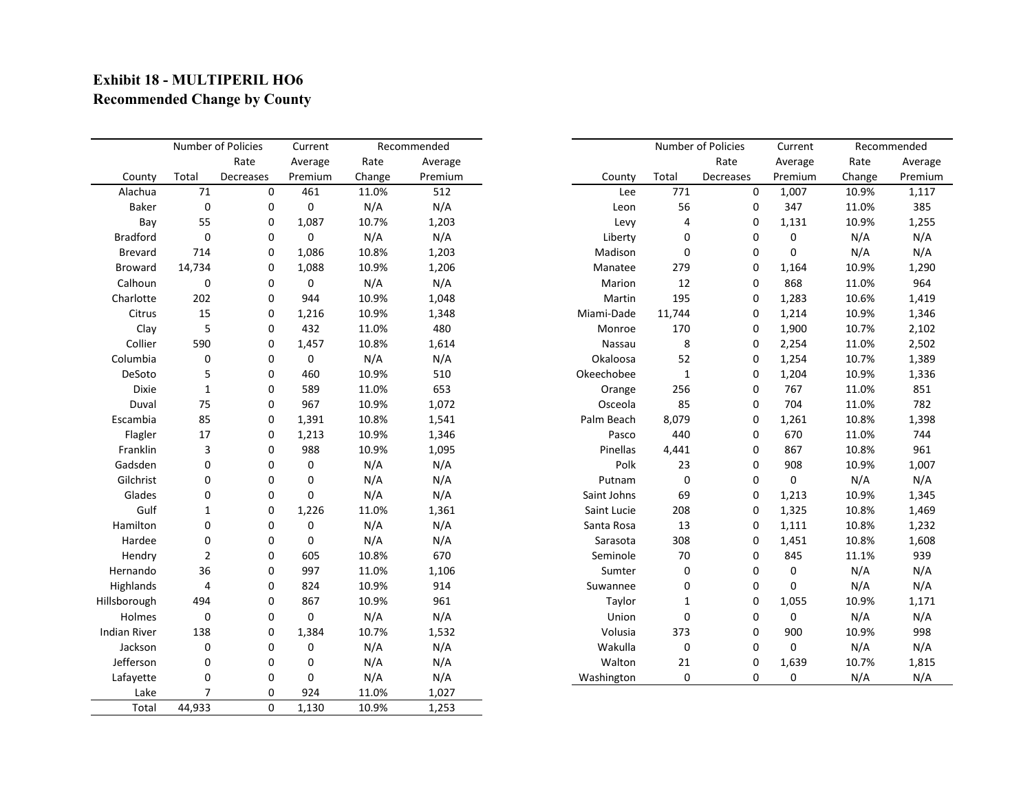## **Exhibit 18 - MULTIPERIL HO6 Recommended Change by County**

|                     | Number of Policies |             | Current     |        | Recommended |             |             | Number of Policies | Current     |        | Recommended |
|---------------------|--------------------|-------------|-------------|--------|-------------|-------------|-------------|--------------------|-------------|--------|-------------|
|                     |                    | Rate        | Average     | Rate   | Average     |             |             | Rate               | Average     | Rate   | Average     |
| County              | Total              | Decreases   | Premium     | Change | Premium     | County      | Total       | Decreases          | Premium     | Change | Premium     |
| Alachua             | 71                 | 0           | 461         | 11.0%  | 512         | Lee         | 771         | 0                  | 1,007       | 10.9%  | 1,117       |
| <b>Baker</b>        | $\mathbf 0$        | 0           | 0           | N/A    | N/A         | Leon        | 56          | 0                  | 347         | 11.0%  | 385         |
| Bay                 | 55                 | 0           | 1,087       | 10.7%  | 1,203       | Levy        | 4           | 0                  | 1,131       | 10.9%  | 1,255       |
| <b>Bradford</b>     | $\pmb{0}$          | 0           | $\mathbf 0$ | N/A    | N/A         | Liberty     | 0           | 0                  | 0           | N/A    | N/A         |
| <b>Brevard</b>      | 714                | 0           | 1,086       | 10.8%  | 1,203       | Madison     | 0           | 0                  | 0           | N/A    | N/A         |
| <b>Broward</b>      | 14,734             | 0           | 1,088       | 10.9%  | 1,206       | Manatee     | 279         | 0                  | 1,164       | 10.9%  | 1,290       |
| Calhoun             | 0                  | 0           | 0           | N/A    | N/A         | Marion      | 12          | 0                  | 868         | 11.0%  | 964         |
| Charlotte           | 202                | 0           | 944         | 10.9%  | 1,048       | Martin      | 195         | 0                  | 1,283       | 10.6%  | 1,419       |
| Citrus              | 15                 | 0           | 1,216       | 10.9%  | 1,348       | Miami-Dade  | 11,744      | 0                  | 1,214       | 10.9%  | 1,346       |
| Clay                | 5                  | 0           | 432         | 11.0%  | 480         | Monroe      | 170         | 0                  | 1,900       | 10.7%  | 2,102       |
| Collier             | 590                | 0           | 1,457       | 10.8%  | 1,614       | Nassau      | 8           | 0                  | 2,254       | 11.0%  | 2,502       |
| Columbia            | 0                  | 0           | $\mathbf 0$ | N/A    | N/A         | Okaloosa    | 52          | 0                  | 1,254       | 10.7%  | 1,389       |
| DeSoto              | 5                  | 0           | 460         | 10.9%  | 510         | Okeechobee  | 1           | 0                  | 1,204       | 10.9%  | 1,336       |
| <b>Dixie</b>        | 1                  | 0           | 589         | 11.0%  | 653         | Orange      | 256         | 0                  | 767         | 11.0%  | 851         |
| Duval               | 75                 | 0           | 967         | 10.9%  | 1,072       | Osceola     | 85          | 0                  | 704         | 11.0%  | 782         |
| Escambia            | 85                 | 0           | 1,391       | 10.8%  | 1,541       | Palm Beach  | 8,079       | 0                  | 1,261       | 10.8%  | 1,398       |
| Flagler             | 17                 | 0           | 1,213       | 10.9%  | 1,346       | Pasco       | 440         | 0                  | 670         | 11.0%  | 744         |
| Franklin            | 3                  | 0           | 988         | 10.9%  | 1,095       | Pinellas    | 4,441       | 0                  | 867         | 10.8%  | 961         |
| Gadsden             | 0                  | 0           | 0           | N/A    | N/A         | Polk        | 23          | 0                  | 908         | 10.9%  | 1,007       |
| Gilchrist           | $\pmb{0}$          | $\mathbf 0$ | 0           | N/A    | N/A         | Putnam      | 0           | 0                  | $\mathbf 0$ | N/A    | N/A         |
| Glades              | 0                  | 0           | 0           | N/A    | N/A         | Saint Johns | 69          | 0                  | 1,213       | 10.9%  | 1,345       |
| Gulf                |                    | 0           | 1,226       | 11.0%  | 1,361       | Saint Lucie | 208         | 0                  | 1,325       | 10.8%  | 1,469       |
| Hamilton            | 0                  | 0           | 0           | N/A    | N/A         | Santa Rosa  | 13          | 0                  | 1,111       | 10.8%  | 1,232       |
| Hardee              | 0                  | 0           | 0           | N/A    | N/A         | Sarasota    | 308         | 0                  | 1,451       | 10.8%  | 1,608       |
| Hendry              | $\overline{2}$     | 0           | 605         | 10.8%  | 670         | Seminole    | 70          | 0                  | 845         | 11.1%  | 939         |
| Hernando            | 36                 | 0           | 997         | 11.0%  | 1,106       | Sumter      | 0           | 0                  | 0           | N/A    | N/A         |
| Highlands           | 4                  | 0           | 824         | 10.9%  | 914         | Suwannee    | 0           | 0                  | 0           | N/A    | N/A         |
| Hillsborough        | 494                | 0           | 867         | 10.9%  | 961         | Taylor      | 1           | 0                  | 1,055       | 10.9%  | 1,171       |
| Holmes              | $\mathbf 0$        | 0           | $\mathbf 0$ | N/A    | N/A         | Union       | 0           | 0                  | 0           | N/A    | N/A         |
| <b>Indian River</b> | 138                | 0           | 1,384       | 10.7%  | 1,532       | Volusia     | 373         | 0                  | 900         | 10.9%  | 998         |
| Jackson             | $\pmb{0}$          | $\mathbf 0$ | 0           | N/A    | N/A         | Wakulla     | $\mathbf 0$ | 0                  | $\pmb{0}$   | N/A    | N/A         |
| Jefferson           | 0                  | 0           | 0           | N/A    | N/A         | Walton      | 21          | 0                  | 1,639       | 10.7%  | 1,815       |
| Lafayette           | $\pmb{0}$          | 0           | 0           | N/A    | N/A         | Washington  | 0           | 0                  | 0           | N/A    | N/A         |
| Lake                | $\overline{7}$     | 0           | 924         | 11.0%  | 1,027       |             |             |                    |             |        |             |
| Total               | 44,933             | 0           | 1,130       | 10.9%  | 1,253       |             |             |                    |             |        |             |